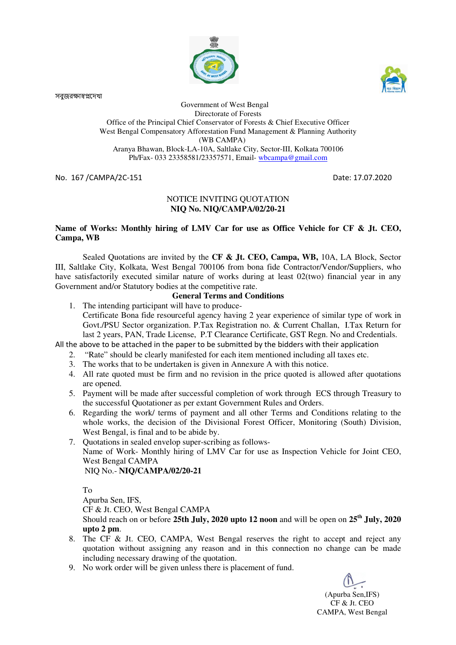

সবুজরক্ষাম্বপ্নদেখা



 Government of West Bengal Directorate of Forests Office of the Principal Chief Conservator of Forests & Chief Executive Officer West Bengal Compensatory Afforestation Fund Management & Planning Authority (WB CAMPA) Aranya Bhawan, Block-LA-10A, Saltlake City, Sector-III, Kolkata 700106 Ph/Fax- 033 23358581/23357571, Email- wbcampa@gmail.com

No. 167 /CAMPA/2C-151 Date: 17.07.2020

## NOTICE INVITING QUOTATION **NIQ No. NIQ/CAMPA/02/20-21**

### **Name of Works: Monthly hiring of LMV Car for use as Office Vehicle for CF & Jt. CEO, Campa, WB**

 Sealed Quotations are invited by the **CF & Jt. CEO, Campa, WB,** 10A, LA Block, Sector III, Saltlake City, Kolkata, West Bengal 700106 from bona fide Contractor/Vendor/Suppliers, who have satisfactorily executed similar nature of works during at least 02(two) financial year in any Government and/or Statutory bodies at the competitive rate.

## **General Terms and Conditions**

1. The intending participant will have to produce-Certificate Bona fide resourceful agency having 2 year experience of similar type of work in Govt./PSU Sector organization. P.Tax Registration no. & Current Challan, I.Tax Return for last 2 years, PAN, Trade License, P.T Clearance Certificate, GST Regn. No and Credentials.

All the above to be attached in the paper to be submitted by the bidders with their application

- 2. "Rate" should be clearly manifested for each item mentioned including all taxes etc.
- 3. The works that to be undertaken is given in Annexure A with this notice.
- 4. All rate quoted must be firm and no revision in the price quoted is allowed after quotations are opened.
- 5. Payment will be made after successful completion of work through ECS through Treasury to the successful Quotationer as per extant Government Rules and Orders.
- 6. Regarding the work/ terms of payment and all other Terms and Conditions relating to the whole works, the decision of the Divisional Forest Officer, Monitoring (South) Division, West Bengal, is final and to be abide by.
- 7. Quotations in sealed envelop super-scribing as follows-Name of Work- Monthly hiring of LMV Car for use as Inspection Vehicle for Joint CEO, West Bengal CAMPA NIQ No.- **NIQ/CAMPA/02/20-21**

To

Apurba Sen, IFS,

CF & Jt. CEO, West Bengal CAMPA

Should reach on or before **25th July, 2020 upto 12 noon** and will be open on **25th July, 2020 upto 2 pm**.

- 8. The CF & Jt. CEO, CAMPA, West Bengal reserves the right to accept and reject any quotation without assigning any reason and in this connection no change can be made including necessary drawing of the quotation.
- 9. No work order will be given unless there is placement of fund.

(Apurba Sen,IFS) CF & Jt. CEO CAMPA, West Bengal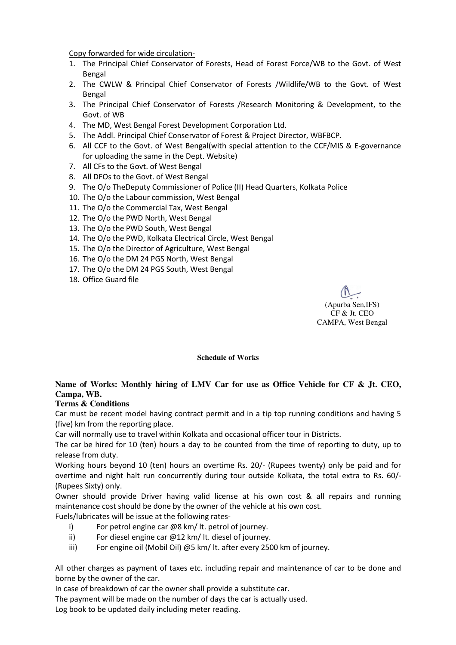Copy forwarded for wide circulation-

- 1. The Principal Chief Conservator of Forests, Head of Forest Force/WB to the Govt. of West Bengal
- 2. The CWLW & Principal Chief Conservator of Forests /Wildlife/WB to the Govt. of West Bengal
- 3. The Principal Chief Conservator of Forests /Research Monitoring & Development, to the Govt. of WB
- 4. The MD, West Bengal Forest Development Corporation Ltd.
- 5. The Addl. Principal Chief Conservator of Forest & Project Director, WBFBCP.
- 6. All CCF to the Govt. of West Bengal(with special attention to the CCF/MIS & E-governance for uploading the same in the Dept. Website)
- 7. All CFs to the Govt. of West Bengal
- 8. All DFOs to the Govt. of West Bengal
- 9. The O/o TheDeputy Commissioner of Police (II) Head Quarters, Kolkata Police
- 10. The O/o the Labour commission, West Bengal
- 11. The O/o the Commercial Tax, West Bengal
- 12. The O/o the PWD North, West Bengal
- 13. The O/o the PWD South, West Bengal
- 14. The O/o the PWD, Kolkata Electrical Circle, West Bengal
- 15. The O/o the Director of Agriculture, West Bengal
- 16. The O/o the DM 24 PGS North, West Bengal
- 17. The O/o the DM 24 PGS South, West Bengal
- 18. Office Guard file

(Apurba Sen,IFS) CF & Jt. CEO CAMPA, West Bengal

**Schedule of Works**

# **Name of Works: Monthly hiring of LMV Car for use as Office Vehicle for CF & Jt. CEO, Campa, WB.**

## **Terms & Conditions**

Car must be recent model having contract permit and in a tip top running conditions and having 5 (five) km from the reporting place.

Car will normally use to travel within Kolkata and occasional officer tour in Districts.

The car be hired for 10 (ten) hours a day to be counted from the time of reporting to duty, up to release from duty.

Working hours beyond 10 (ten) hours an overtime Rs. 20/- (Rupees twenty) only be paid and for overtime and night halt run concurrently during tour outside Kolkata, the total extra to Rs. 60/- (Rupees Sixty) only.

Owner should provide Driver having valid license at his own cost & all repairs and running maintenance cost should be done by the owner of the vehicle at his own cost.

Fuels/lubricates will be issue at the following rates-

- i) For petrol engine car @8 km/ lt. petrol of journey.
- ii) For diesel engine car @12 km/ lt. diesel of journey.
- iii) For engine oil (Mobil Oil) @5 km/ lt. after every 2500 km of journey.

All other charges as payment of taxes etc. including repair and maintenance of car to be done and borne by the owner of the car.

In case of breakdown of car the owner shall provide a substitute car.

The payment will be made on the number of days the car is actually used.

Log book to be updated daily including meter reading.